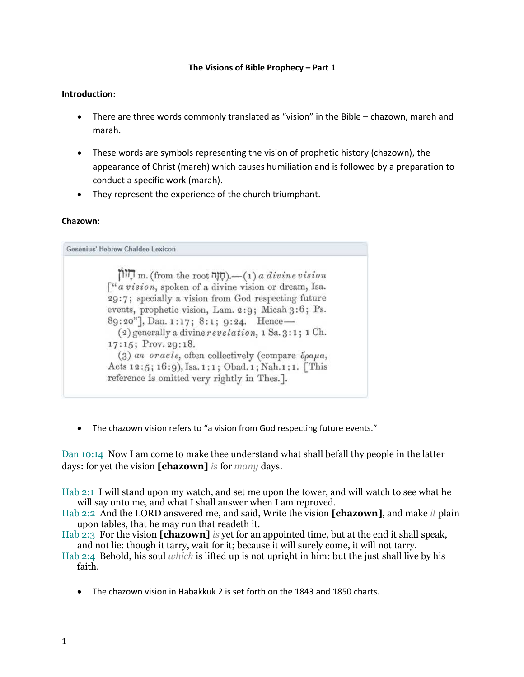#### **The Visions of Bible Prophecy – Part 1**

#### **Introduction:**

- There are three words commonly translated as "vision" in the Bible chazown, mareh and marah.
- These words are symbols representing the vision of prophetic history (chazown), the appearance of Christ (mareh) which causes humiliation and is followed by a preparation to conduct a specific work (marah).
- They represent the experience of the church triumphant.

#### **Chazown:**

Gesenius' Hebrew-Chaldee Lexicon ת הוון m. (from the root חזה),—(1) a divine vision  $\int_0^a$  *a vision*, spoken of a divine vision or dream, Isa. 29:7; specially a vision from God respecting future events, prophetic vision, Lam. 2:9; Micah 3:6; Ps. 89:20"], Dan. 1:17; 8:1; 9:24. Hence- $(2)$  generally a divine revelation, 1 Sa. 3:1; 1 Ch. 17:15; Prov. 29:18.  $(3)$  an oracle, often collectively (compare  $\ddot{o}$ ραμα, Acts 12:5; 16:9), Isa. 1:1; Obad. 1; Nah. 1:1. [This reference is omitted very rightly in Thes.].

• The chazown vision refers to "a vision from God respecting future events."

Dan 10:14 Now I am come to make thee understand what shall befall thy people in the latter days: for yet the vision **[chazown]** *is* for *many* days.

Hab 2:1 I will stand upon my watch, and set me upon the tower, and will watch to see what he will say unto me, and what I shall answer when I am reproved.

- Hab 2:2 And the LORD answered me, and said, Write the vision **[chazown]**, and make *it* plain upon tables, that he may run that readeth it.
- Hab 2:3 For the vision **[chazown]** *is* yet for an appointed time, but at the end it shall speak, and not lie: though it tarry, wait for it; because it will surely come, it will not tarry.

Hab 2:4 Behold, his soul *which* is lifted up is not upright in him: but the just shall live by his faith.

• The chazown vision in Habakkuk 2 is set forth on the 1843 and 1850 charts.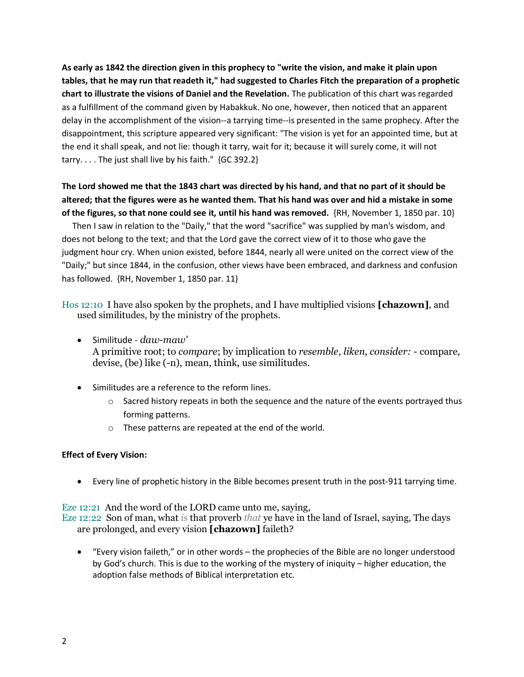**As early as 1842 the direction given in this prophecy to "write the vision, and make it plain upon tables, that he may run that readeth it," had suggested to Charles Fitch the preparation of a prophetic chart to illustrate the visions of Daniel and the Revelation.** The publication of this chart was regarded as a fulfillment of the command given by Habakkuk. No one, however, then noticed that an apparent delay in the accomplishment of the vision--a tarrying time--is presented in the same prophecy. After the disappointment, this scripture appeared very significant: "The vision is yet for an appointed time, but at the end it shall speak, and not lie: though it tarry, wait for it; because it will surely come, it will not tarry. . . . The just shall live by his faith." {GC 392.2}

# **The Lord showed me that the 1843 chart was directed by his hand, and that no part of it should be altered; that the figures were as he wanted them. That his hand was over and hid a mistake in some of the figures, so that none could see it, until his hand was removed.** {RH, November 1, 1850 par. 10}

 Then I saw in relation to the "Daily," that the word "sacrifice" was supplied by man's wisdom, and does not belong to the text; and that the Lord gave the correct view of it to those who gave the judgment hour cry. When union existed, before 1844, nearly all were united on the correct view of the "Daily;" but since 1844, in the confusion, other views have been embraced, and darkness and confusion has followed. {RH, November 1, 1850 par. 11}

Hos 12:10 I have also spoken by the prophets, and I have multiplied visions **[chazown]**, and used similitudes, by the ministry of the prophets.

- Similitude *daw-maw'* A primitive root; to *compare*; by implication to *resemble*, *liken*, *consider: -* compare, devise, (be) like (-n), mean, think, use similitudes.
- Similitudes are a reference to the reform lines.
	- $\circ$  Sacred history repeats in both the sequence and the nature of the events portrayed thus forming patterns.
	- o These patterns are repeated at the end of the world.

## **Effect of Every Vision:**

• Every line of prophetic history in the Bible becomes present truth in the post-911 tarrying time.

## Eze 12:21 And the word of the LORD came unto me, saying,

Eze 12:22 Son of man, what *is* that proverb *that* ye have in the land of Israel, saying, The days are prolonged, and every vision **[chazown]** faileth?

• "Every vision faileth," or in other words – the prophecies of the Bible are no longer understood by God's church. This is due to the working of the mystery of iniquity – higher education, the adoption false methods of Biblical interpretation etc.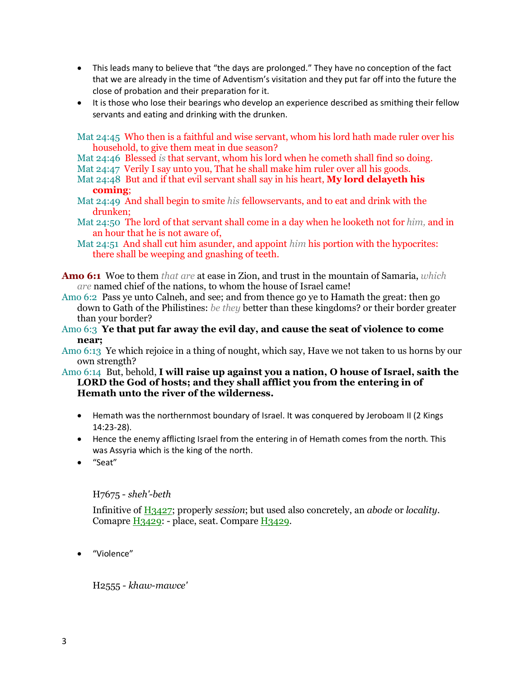- This leads many to believe that "the days are prolonged." They have no conception of the fact that we are already in the time of Adventism's visitation and they put far off into the future the close of probation and their preparation for it.
- It is those who lose their bearings who develop an experience described as smithing their fellow servants and eating and drinking with the drunken.

Mat 24:45 Who then is a faithful and wise servant, whom his lord hath made ruler over his household, to give them meat in due season?

Mat 24:46 Blessed *is* that servant, whom his lord when he cometh shall find so doing.

Mat 24:47 Verily I say unto you, That he shall make him ruler over all his goods.

- Mat 24:48 But and if that evil servant shall say in his heart, **My lord delayeth his coming**;
- Mat 24:49 And shall begin to smite *his* fellowservants, and to eat and drink with the drunken;
- Mat 24:50 The lord of that servant shall come in a day when he looketh not for *him,* and in an hour that he is not aware of,
- Mat 24:51 And shall cut him asunder, and appoint *him* his portion with the hypocrites: there shall be weeping and gnashing of teeth.

**Amo 6:1** Woe to them *that are* at ease in Zion, and trust in the mountain of Samaria, *which are* named chief of the nations, to whom the house of Israel came!

Amo 6:2 Pass ye unto Calneh, and see; and from thence go ye to Hamath the great: then go down to Gath of the Philistines: *be they* better than these kingdoms? or their border greater than your border?

Amo 6:3 **Ye that put far away the evil day, and cause the seat of violence to come near;**

Amo 6:13 Ye which rejoice in a thing of nought, which say, Have we not taken to us horns by our own strength?

- Amo 6:14 But, behold, **I will raise up against you a nation, O house of Israel, saith the LORD the God of hosts; and they shall afflict you from the entering in of Hemath unto the river of the wilderness.** 
	- Hemath was the northernmost boundary of Israel. It was conquered by Jeroboam II (2 Kings 14:23-28).
	- Hence the enemy afflicting Israel from the entering in of Hemath comes from the north. This was Assyria which is the king of the north.
	- "Seat"

H7675 - *sheh'-beth*

Infinitive of H3427; properly *session*; but used also concretely, an *abode* or *locality*. Comapre H3429: - place, seat. Compare H3429.

• "Violence"

H2555 - *khaw-mawce'*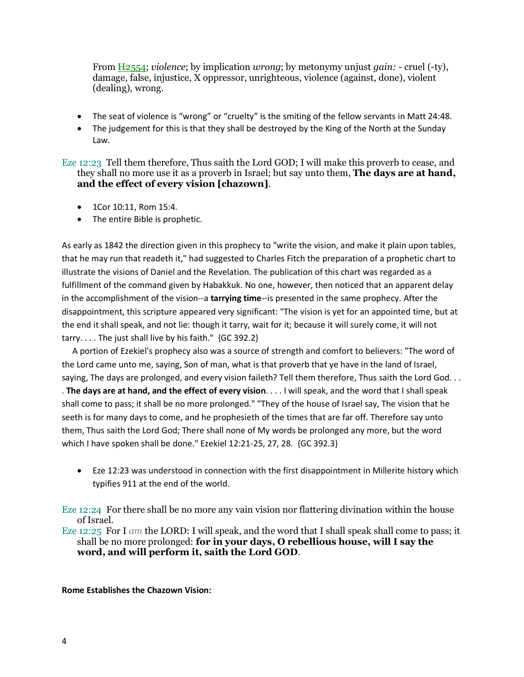From H2554; *violence*; by implication *wrong*; by metonymy unjust *gain: -* cruel (-ty), damage, false, injustice, X oppressor, unrighteous, violence (against, done), violent (dealing), wrong.

- The seat of violence is "wrong" or "cruelty" is the smiting of the fellow servants in Matt 24:48.
- The judgement for this is that they shall be destroyed by the King of the North at the Sunday Law.

Eze 12:23 Tell them therefore, Thus saith the Lord GOD; I will make this proverb to cease, and they shall no more use it as a proverb in Israel; but say unto them, **The days are at hand, and the effect of every vision [chazown]**.

- 1Cor 10:11, Rom 15:4.
- The entire Bible is prophetic.

As early as 1842 the direction given in this prophecy to "write the vision, and make it plain upon tables, that he may run that readeth it," had suggested to Charles Fitch the preparation of a prophetic chart to illustrate the visions of Daniel and the Revelation. The publication of this chart was regarded as a fulfillment of the command given by Habakkuk. No one, however, then noticed that an apparent delay in the accomplishment of the vision--a **tarrying time**--is presented in the same prophecy. After the disappointment, this scripture appeared very significant: "The vision is yet for an appointed time, but at the end it shall speak, and not lie: though it tarry, wait for it; because it will surely come, it will not tarry. . . . The just shall live by his faith." {GC 392.2}

 A portion of Ezekiel's prophecy also was a source of strength and comfort to believers: "The word of the Lord came unto me, saying, Son of man, what is that proverb that ye have in the land of Israel, saying, The days are prolonged, and every vision faileth? Tell them therefore, Thus saith the Lord God. . . . **The days are at hand, and the effect of every vision**. . . . I will speak, and the word that I shall speak shall come to pass; it shall be no more prolonged." "They of the house of Israel say, The vision that he seeth is for many days to come, and he prophesieth of the times that are far off. Therefore say unto them, Thus saith the Lord God; There shall none of My words be prolonged any more, but the word which I have spoken shall be done." Ezekiel 12:21-25, 27, 28. {GC 392.3}

• Eze 12:23 was understood in connection with the first disappointment in Millerite history which typifies 911 at the end of the world.

Eze 12:24 For there shall be no more any vain vision nor flattering divination within the house of Israel.

Eze 12:25 For I *am* the LORD: I will speak, and the word that I shall speak shall come to pass; it shall be no more prolonged: **for in your days, O rebellious house, will I say the word, and will perform it, saith the Lord GOD**.

**Rome Establishes the Chazown Vision:**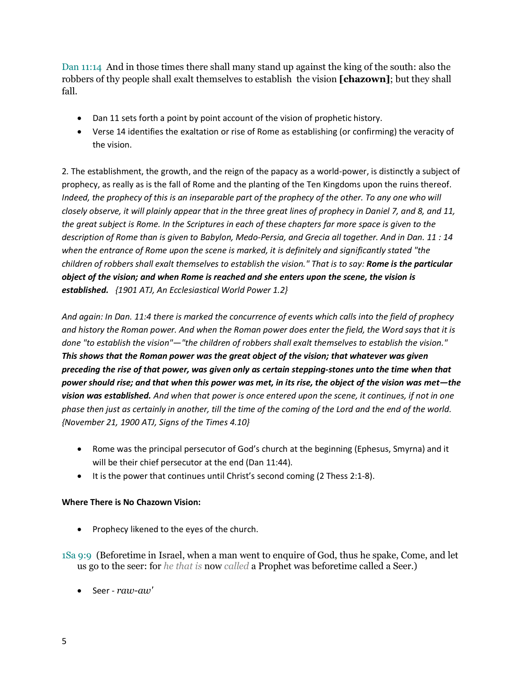Dan 11:14 And in those times there shall many stand up against the king of the south: also the robbers of thy people shall exalt themselves to establish the vision **[chazown]**; but they shall fall.

- Dan 11 sets forth a point by point account of the vision of prophetic history.
- Verse 14 identifies the exaltation or rise of Rome as establishing (or confirming) the veracity of the vision.

2. The establishment, the growth, and the reign of the papacy as a world-power, is distinctly a subject of prophecy, as really as is the fall of Rome and the planting of the Ten Kingdoms upon the ruins thereof. *Indeed, the prophecy of this is an inseparable part of the prophecy of the other. To any one who will closely observe, it will plainly appear that in the three great lines of prophecy in Daniel 7, and 8, and 11, the great subject is Rome. In the Scriptures in each of these chapters far more space is given to the description of Rome than is given to Babylon, Medo-Persia, and Grecia all together. And in Dan. 11 : 14 when the entrance of Rome upon the scene is marked, it is definitely and significantly stated "the children of robbers shall exalt themselves to establish the vision." That is to say: Rome is the particular object of the vision; and when Rome is reached and she enters upon the scene, the vision is established. {1901 ATJ, An Ecclesiastical World Power 1.2}*

*And again: In Dan. 11:4 there is marked the concurrence of events which calls into the field of prophecy and history the Roman power. And when the Roman power does enter the field, the Word says that it is done "to establish the vision"—"the children of robbers shall exalt themselves to establish the vision." This shows that the Roman power was the great object of the vision; that whatever was given preceding the rise of that power, was given only as certain stepping-stones unto the time when that power should rise; and that when this power was met, in its rise, the object of the vision was met—the vision was established. And when that power is once entered upon the scene, it continues, if not in one phase then just as certainly in another, till the time of the coming of the Lord and the end of the world. {November 21, 1900 ATJ, Signs of the Times 4.10}*

- Rome was the principal persecutor of God's church at the beginning (Ephesus, Smyrna) and it will be their chief persecutor at the end (Dan 11:44).
- It is the power that continues until Christ's second coming (2 Thess 2:1-8).

## **Where There is No Chazown Vision:**

- Prophecy likened to the eyes of the church.
- 1Sa 9:9 (Beforetime in Israel, when a man went to enquire of God, thus he spake, Come, and let us go to the seer: for *he that is* now *called* a Prophet was beforetime called a Seer.)
	- Seer *raw-aw'*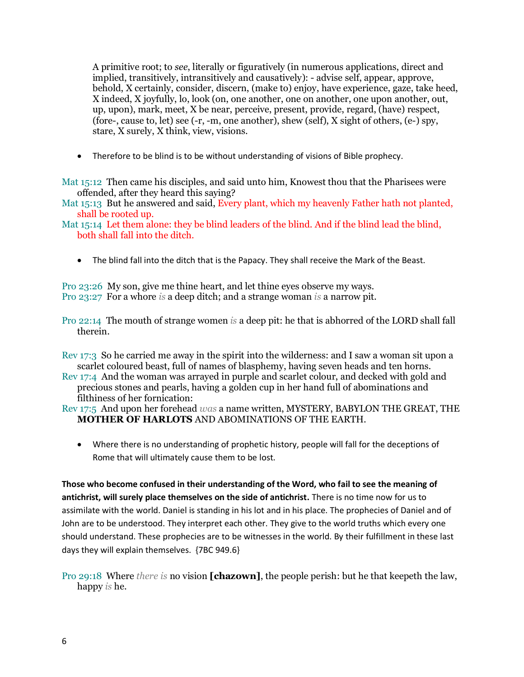A primitive root; to *see*, literally or figuratively (in numerous applications, direct and implied, transitively, intransitively and causatively): - advise self, appear, approve, behold, X certainly, consider, discern, (make to) enjoy, have experience, gaze, take heed, X indeed, X joyfully, lo, look (on, one another, one on another, one upon another, out, up, upon), mark, meet, X be near, perceive, present, provide, regard, (have) respect, (fore-, cause to, let) see  $(-r, -m,$  one another), shew (self), X sight of others,  $(e-)$  spy, stare, X surely, X think, view, visions.

• Therefore to be blind is to be without understanding of visions of Bible prophecy.

Mat 15:12 Then came his disciples, and said unto him, Knowest thou that the Pharisees were offended, after they heard this saying?

Mat 15:13 But he answered and said, Every plant, which my heavenly Father hath not planted, shall be rooted up.

Mat 15:14 Let them alone: they be blind leaders of the blind. And if the blind lead the blind, both shall fall into the ditch.

• The blind fall into the ditch that is the Papacy. They shall receive the Mark of the Beast.

Pro 23:26 My son, give me thine heart, and let thine eyes observe my ways. Pro 23:27 For a whore *is* a deep ditch; and a strange woman *is* a narrow pit.

Pro 22:14 The mouth of strange women *is* a deep pit: he that is abhorred of the LORD shall fall therein.

Rev 17:3 So he carried me away in the spirit into the wilderness: and I saw a woman sit upon a scarlet coloured beast, full of names of blasphemy, having seven heads and ten horns.

Rev 17:4 And the woman was arrayed in purple and scarlet colour, and decked with gold and precious stones and pearls, having a golden cup in her hand full of abominations and filthiness of her fornication:

Rev 17:5 And upon her forehead *was* a name written, MYSTERY, BABYLON THE GREAT, THE **MOTHER OF HARLOTS** AND ABOMINATIONS OF THE EARTH.

• Where there is no understanding of prophetic history, people will fall for the deceptions of Rome that will ultimately cause them to be lost.

**Those who become confused in their understanding of the Word, who fail to see the meaning of antichrist, will surely place themselves on the side of antichrist.** There is no time now for us to assimilate with the world. Daniel is standing in his lot and in his place. The prophecies of Daniel and of John are to be understood. They interpret each other. They give to the world truths which every one should understand. These prophecies are to be witnesses in the world. By their fulfillment in these last days they will explain themselves. {7BC 949.6}

## Pro 29:18 Where *there is* no vision **[chazown]**, the people perish: but he that keepeth the law, happy *is* he.